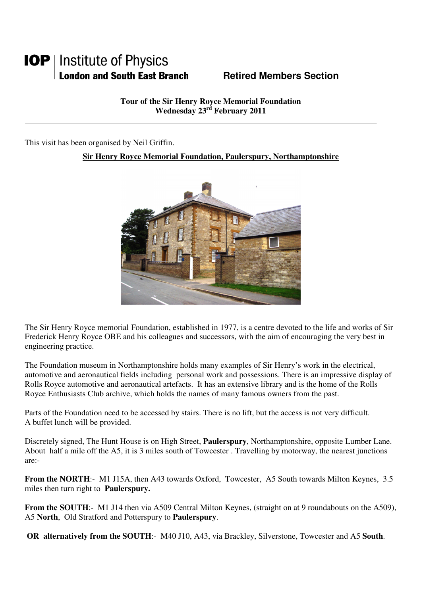## **IOP** | Institute of Physics **London and South East Branch Fame Retired Members Section**

**Tour of the Sir Henry Royce Memorial Foundation Wednesday 23rd February 2011** 

This visit has been organised by Neil Griffin.

## **Sir Henry Royce Memorial Foundation, Paulerspury, Northamptonshire**



The Sir Henry Royce memorial Foundation, established in 1977, is a centre devoted to the life and works of Sir Frederick Henry Royce OBE and his colleagues and successors, with the aim of encouraging the very best in engineering practice.

The Foundation museum in Northamptonshire holds many examples of Sir Henry's work in the electrical, automotive and aeronautical fields including personal work and possessions. There is an impressive display of Rolls Royce automotive and aeronautical artefacts. It has an extensive library and is the home of the Rolls Royce Enthusiasts Club archive, which holds the names of many famous owners from the past.

Parts of the Foundation need to be accessed by stairs. There is no lift, but the access is not very difficult. A buffet lunch will be provided.

Discretely signed, The Hunt House is on High Street, **Paulerspury**, Northamptonshire, opposite Lumber Lane. About half a mile off the A5, it is 3 miles south of Towcester . Travelling by motorway, the nearest junctions are:-

**From the NORTH:**- M1 J15A, then A43 towards Oxford, Towcester, A5 South towards Milton Keynes, 3.5 miles then turn right to **Paulerspury.**

**From the SOUTH:**- M1 J14 then via A509 Central Milton Keynes, (straight on at 9 roundabouts on the A509), A5 **North**, Old Stratford and Potterspury to **Paulerspury**.

**OR alternatively from the SOUTH**:- M40 J10, A43, via Brackley, Silverstone, Towcester and A5 **South**.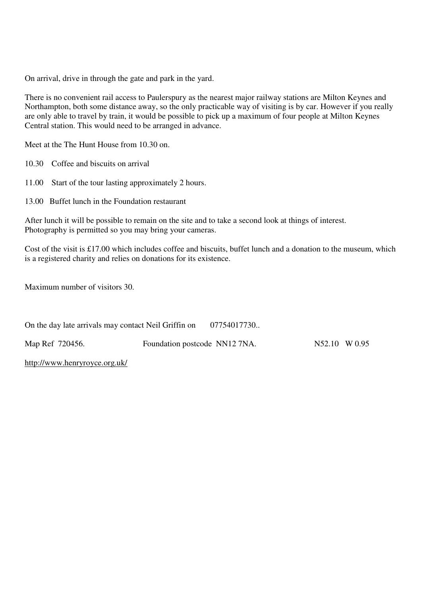On arrival, drive in through the gate and park in the yard.

There is no convenient rail access to Paulerspury as the nearest major railway stations are Milton Keynes and Northampton, both some distance away, so the only practicable way of visiting is by car. However if you really are only able to travel by train, it would be possible to pick up a maximum of four people at Milton Keynes Central station. This would need to be arranged in advance.

Meet at the The Hunt House from 10.30 on.

10.30 Coffee and biscuits on arrival

11.00 Start of the tour lasting approximately 2 hours.

13.00 Buffet lunch in the Foundation restaurant

After lunch it will be possible to remain on the site and to take a second look at things of interest. Photography is permitted so you may bring your cameras.

Cost of the visit is £17.00 which includes coffee and biscuits, buffet lunch and a donation to the museum, which is a registered charity and relies on donations for its existence.

Maximum number of visitors 30.

| On the day late arrivals may contact Neil Griffin on |                               | 07754017730 |               |  |
|------------------------------------------------------|-------------------------------|-------------|---------------|--|
| Map Ref 720456.                                      | Foundation postcode NN12 7NA. |             | N52.10 W 0.95 |  |

http://www.henryroyce.org.uk/